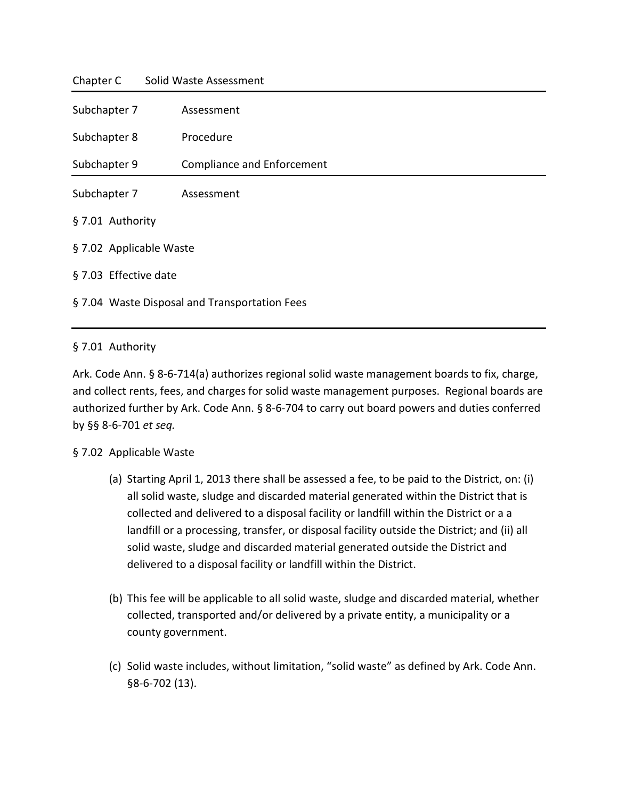| Chapter C               | Solid Waste Assessment                        |  |  |
|-------------------------|-----------------------------------------------|--|--|
| Subchapter 7            | Assessment                                    |  |  |
| Subchapter 8            | Procedure                                     |  |  |
| Subchapter 9            | <b>Compliance and Enforcement</b>             |  |  |
| Subchapter 7            | Assessment                                    |  |  |
| § 7.01 Authority        |                                               |  |  |
| § 7.02 Applicable Waste |                                               |  |  |
|                         | § 7.03 Effective date                         |  |  |
|                         | § 7.04 Waste Disposal and Transportation Fees |  |  |
|                         |                                               |  |  |

### § 7.01 Authority

Ark. Code Ann. § 8-6-714(a) authorizes regional solid waste management boards to fix, charge, and collect rents, fees, and charges for solid waste management purposes. Regional boards are authorized further by Ark. Code Ann. § 8-6-704 to carry out board powers and duties conferred by §§ 8-6-701 *et seq.*

### § 7.02 Applicable Waste

- (a) Starting April 1, 2013 there shall be assessed a fee, to be paid to the District, on: (i) all solid waste, sludge and discarded material generated within the District that is collected and delivered to a disposal facility or landfill within the District or a a landfill or a processing, transfer, or disposal facility outside the District; and (ii) all solid waste, sludge and discarded material generated outside the District and delivered to a disposal facility or landfill within the District.
- (b) This fee will be applicable to all solid waste, sludge and discarded material, whether collected, transported and/or delivered by a private entity, a municipality or a county government.
- (c) Solid waste includes, without limitation, "solid waste" as defined by Ark. Code Ann. §8-6-702 (13).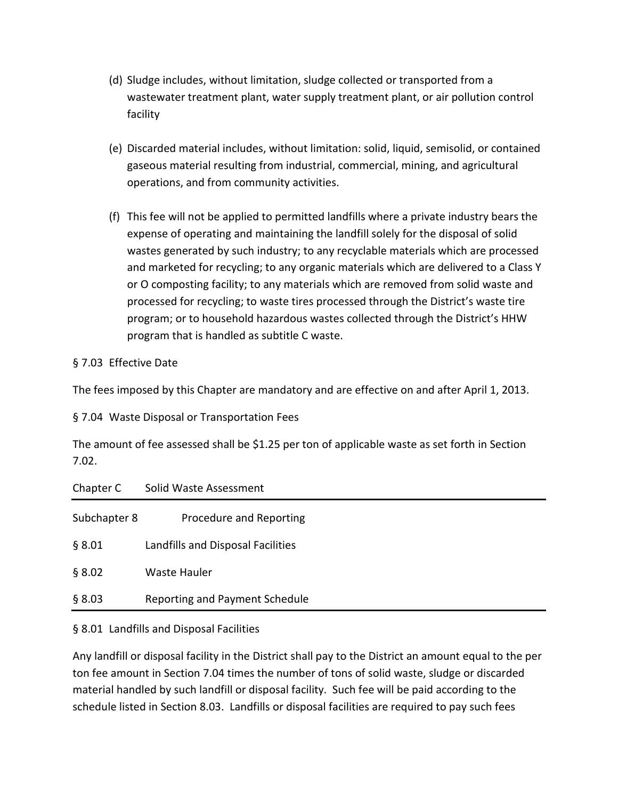- (d) Sludge includes, without limitation, sludge collected or transported from a wastewater treatment plant, water supply treatment plant, or air pollution control facility
- (e) Discarded material includes, without limitation: solid, liquid, semisolid, or contained gaseous material resulting from industrial, commercial, mining, and agricultural operations, and from community activities.
- (f) This fee will not be applied to permitted landfills where a private industry bears the expense of operating and maintaining the landfill solely for the disposal of solid wastes generated by such industry; to any recyclable materials which are processed and marketed for recycling; to any organic materials which are delivered to a Class Y or O composting facility; to any materials which are removed from solid waste and processed for recycling; to waste tires processed through the District's waste tire program; or to household hazardous wastes collected through the District's HHW program that is handled as subtitle C waste.

## § 7.03 Effective Date

The fees imposed by this Chapter are mandatory and are effective on and after April 1, 2013.

§ 7.04 Waste Disposal or Transportation Fees

The amount of fee assessed shall be \$1.25 per ton of applicable waste as set forth in Section 7.02.

| Chapter C    | Solid Waste Assessment            |
|--------------|-----------------------------------|
| Subchapter 8 | Procedure and Reporting           |
| § 8.01       | Landfills and Disposal Facilities |
| § 8.02       | Waste Hauler                      |
| § 8.03       | Reporting and Payment Schedule    |

## § 8.01 Landfills and Disposal Facilities

Any landfill or disposal facility in the District shall pay to the District an amount equal to the per ton fee amount in Section 7.04 times the number of tons of solid waste, sludge or discarded material handled by such landfill or disposal facility. Such fee will be paid according to the schedule listed in Section 8.03. Landfills or disposal facilities are required to pay such fees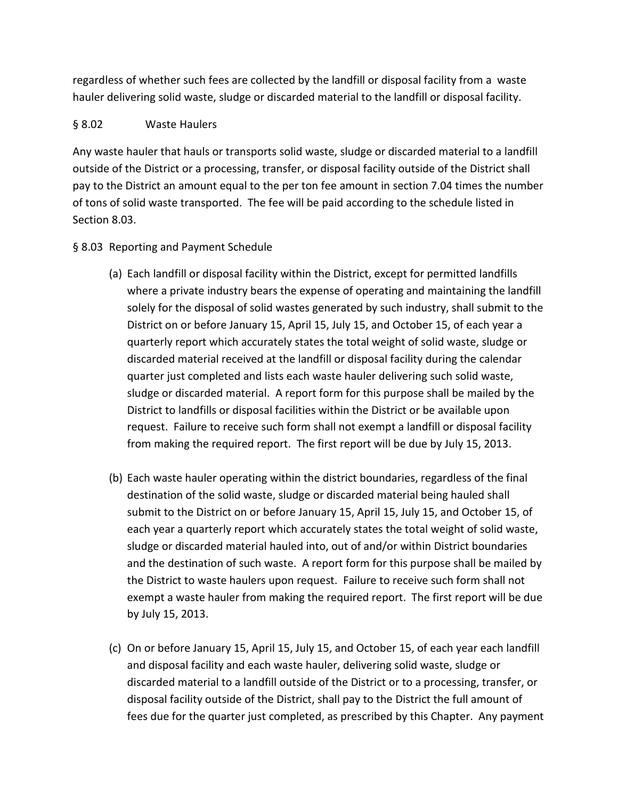regardless of whether such fees are collected by the landfill or disposal facility from a waste hauler delivering solid waste, sludge or discarded material to the landfill or disposal facility.

## § 8.02 Waste Haulers

Any waste hauler that hauls or transports solid waste, sludge or discarded material to a landfill outside of the District or a processing, transfer, or disposal facility outside of the District shall pay to the District an amount equal to the per ton fee amount in section 7.04 times the number of tons of solid waste transported. The fee will be paid according to the schedule listed in Section 8.03.

# § 8.03 Reporting and Payment Schedule

- (a) Each landfill or disposal facility within the District, except for permitted landfills where a private industry bears the expense of operating and maintaining the landfill solely for the disposal of solid wastes generated by such industry, shall submit to the District on or before January 15, April 15, July 15, and October 15, of each year a quarterly report which accurately states the total weight of solid waste, sludge or discarded material received at the landfill or disposal facility during the calendar quarter just completed and lists each waste hauler delivering such solid waste, sludge or discarded material. A report form for this purpose shall be mailed by the District to landfills or disposal facilities within the District or be available upon request. Failure to receive such form shall not exempt a landfill or disposal facility from making the required report. The first report will be due by July 15, 2013.
- (b) Each waste hauler operating within the district boundaries, regardless of the final destination of the solid waste, sludge or discarded material being hauled shall submit to the District on or before January 15, April 15, July 15, and October 15, of each year a quarterly report which accurately states the total weight of solid waste, sludge or discarded material hauled into, out of and/or within District boundaries and the destination of such waste. A report form for this purpose shall be mailed by the District to waste haulers upon request. Failure to receive such form shall not exempt a waste hauler from making the required report. The first report will be due by July 15, 2013.
- (c) On or before January 15, April 15, July 15, and October 15, of each year each landfill and disposal facility and each waste hauler, delivering solid waste, sludge or discarded material to a landfill outside of the District or to a processing, transfer, or disposal facility outside of the District, shall pay to the District the full amount of fees due for the quarter just completed, as prescribed by this Chapter. Any payment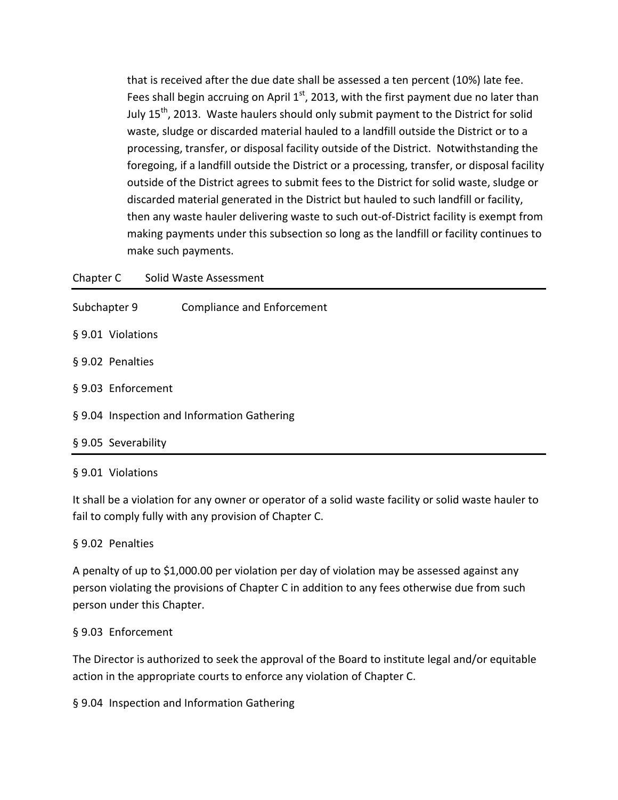that is received after the due date shall be assessed a ten percent (10%) late fee. Fees shall begin accruing on April  $1<sup>st</sup>$ , 2013, with the first payment due no later than July 15<sup>th</sup>, 2013. Waste haulers should only submit payment to the District for solid waste, sludge or discarded material hauled to a landfill outside the District or to a processing, transfer, or disposal facility outside of the District. Notwithstanding the foregoing, if a landfill outside the District or a processing, transfer, or disposal facility outside of the District agrees to submit fees to the District for solid waste, sludge or discarded material generated in the District but hauled to such landfill or facility, then any waste hauler delivering waste to such out-of-District facility is exempt from making payments under this subsection so long as the landfill or facility continues to make such payments.

| Chapter C |  |  | Solid Waste Assessment |
|-----------|--|--|------------------------|
|-----------|--|--|------------------------|

| Subchapter 9        | <b>Compliance and Enforcement</b>           |
|---------------------|---------------------------------------------|
| § 9.01 Violations   |                                             |
| § 9.02 Penalties    |                                             |
| § 9.03 Enforcement  |                                             |
|                     | § 9.04 Inspection and Information Gathering |
| § 9.05 Severability |                                             |

### § 9.01 Violations

It shall be a violation for any owner or operator of a solid waste facility or solid waste hauler to fail to comply fully with any provision of Chapter C.

## § 9.02 Penalties

A penalty of up to \$1,000.00 per violation per day of violation may be assessed against any person violating the provisions of Chapter C in addition to any fees otherwise due from such person under this Chapter.

### § 9.03 Enforcement

The Director is authorized to seek the approval of the Board to institute legal and/or equitable action in the appropriate courts to enforce any violation of Chapter C.

§ 9.04 Inspection and Information Gathering